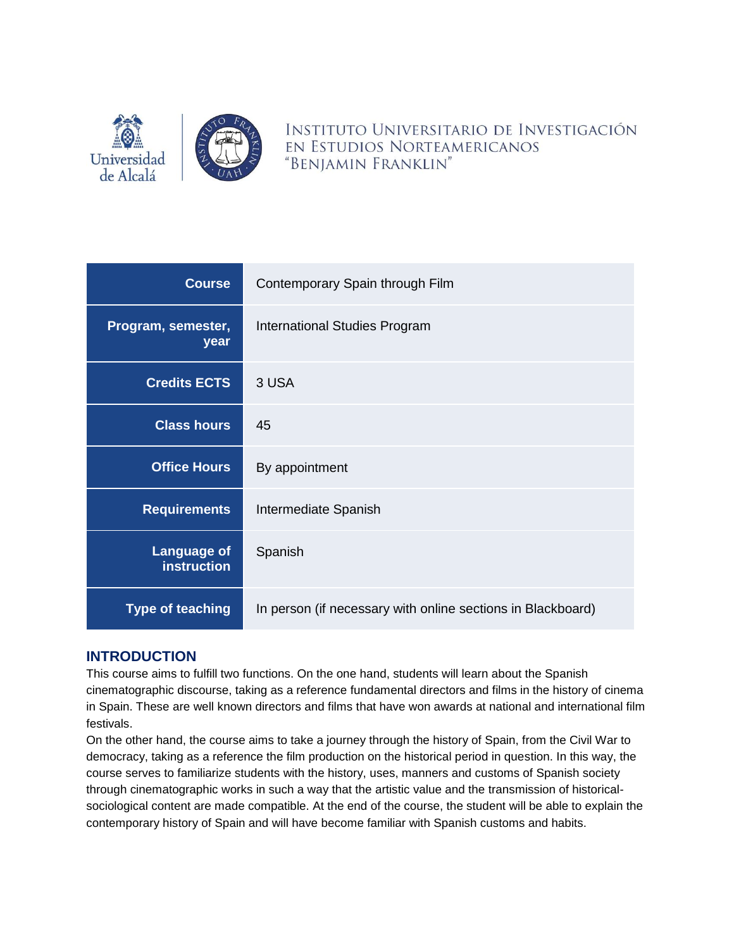

INSTITUTO UNIVERSITARIO DE INVESTIGACIÓN EN ESTUDIOS NORTEAMERICANOS "BENJAMIN FRANKLIN"

| <b>Course</b>                            | Contemporary Spain through Film                             |  |
|------------------------------------------|-------------------------------------------------------------|--|
| Program, semester,<br>year               | International Studies Program                               |  |
| <b>Credits ECTS</b>                      | 3 USA                                                       |  |
| <b>Class hours</b>                       | 45                                                          |  |
| <b>Office Hours</b>                      | By appointment                                              |  |
| <b>Requirements</b>                      | Intermediate Spanish                                        |  |
| <b>Language of</b><br><b>instruction</b> | Spanish                                                     |  |
| <b>Type of teaching</b>                  | In person (if necessary with online sections in Blackboard) |  |

# **INTRODUCTION**

This course aims to fulfill two functions. On the one hand, students will learn about the Spanish cinematographic discourse, taking as a reference fundamental directors and films in the history of cinema in Spain. These are well known directors and films that have won awards at national and international film festivals.

On the other hand, the course aims to take a journey through the history of Spain, from the Civil War to democracy, taking as a reference the film production on the historical period in question. In this way, the course serves to familiarize students with the history, uses, manners and customs of Spanish society through cinematographic works in such a way that the artistic value and the transmission of historicalsociological content are made compatible. At the end of the course, the student will be able to explain the contemporary history of Spain and will have become familiar with Spanish customs and habits.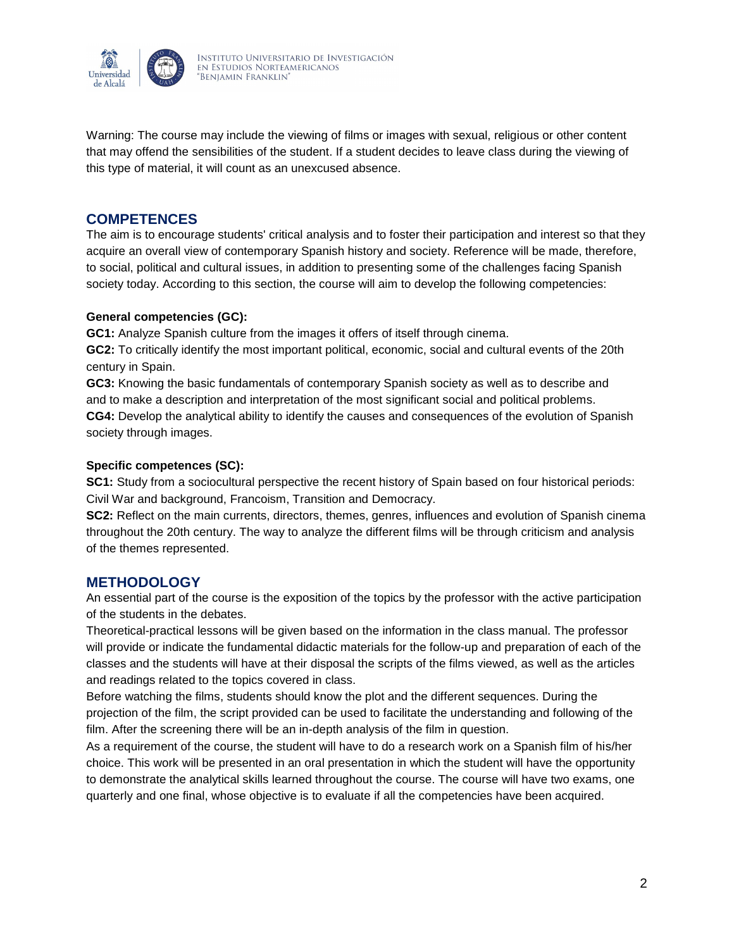

Warning: The course may include the viewing of films or images with sexual, religious or other content that may offend the sensibilities of the student. If a student decides to leave class during the viewing of this type of material, it will count as an unexcused absence.

### **COMPETENCES**

The aim is to encourage students' critical analysis and to foster their participation and interest so that they acquire an overall view of contemporary Spanish history and society. Reference will be made, therefore, to social, political and cultural issues, in addition to presenting some of the challenges facing Spanish society today. According to this section, the course will aim to develop the following competencies:

#### **General competencies (GC):**

**GC1:** Analyze Spanish culture from the images it offers of itself through cinema. **GC2:** To critically identify the most important political, economic, social and cultural events of the 20th century in Spain.

**GC3:** Knowing the basic fundamentals of contemporary Spanish society as well as to describe and and to make a description and interpretation of the most significant social and political problems. **CG4:** Develop the analytical ability to identify the causes and consequences of the evolution of Spanish society through images.

#### **Specific competences (SC):**

**SC1:** Study from a sociocultural perspective the recent history of Spain based on four historical periods: Civil War and background, Francoism, Transition and Democracy.

**SC2:** Reflect on the main currents, directors, themes, genres, influences and evolution of Spanish cinema throughout the 20th century. The way to analyze the different films will be through criticism and analysis of the themes represented.

### **METHODOLOGY**

An essential part of the course is the exposition of the topics by the professor with the active participation of the students in the debates.

Theoretical-practical lessons will be given based on the information in the class manual. The professor will provide or indicate the fundamental didactic materials for the follow-up and preparation of each of the classes and the students will have at their disposal the scripts of the films viewed, as well as the articles and readings related to the topics covered in class.

Before watching the films, students should know the plot and the different sequences. During the projection of the film, the script provided can be used to facilitate the understanding and following of the film. After the screening there will be an in-depth analysis of the film in question.

As a requirement of the course, the student will have to do a research work on a Spanish film of his/her choice. This work will be presented in an oral presentation in which the student will have the opportunity to demonstrate the analytical skills learned throughout the course. The course will have two exams, one quarterly and one final, whose objective is to evaluate if all the competencies have been acquired.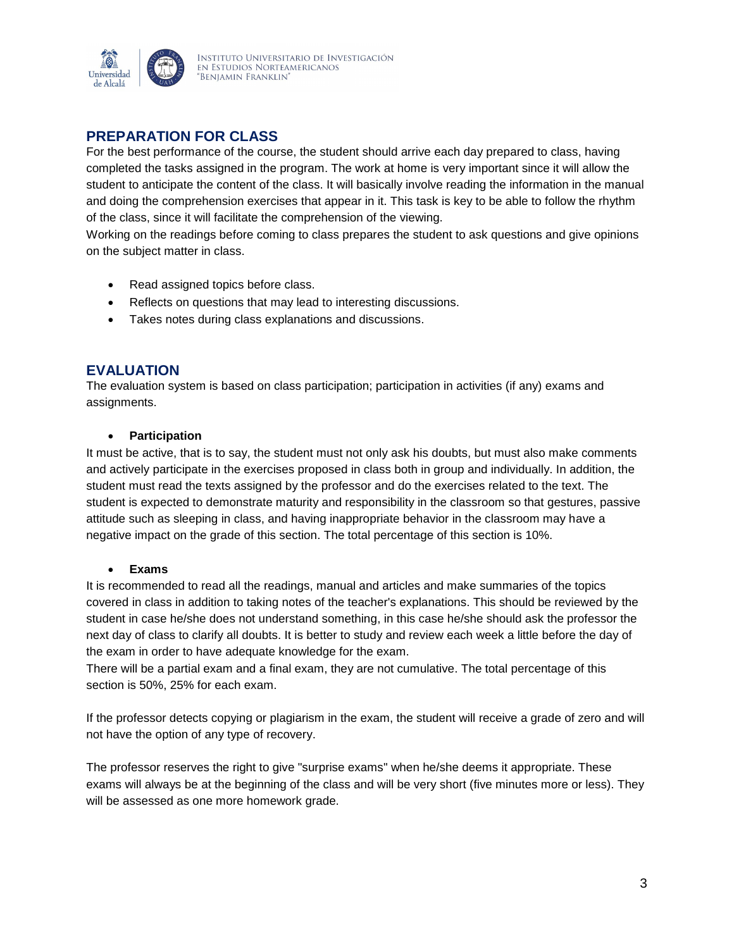

# **PREPARATION FOR CLASS**

For the best performance of the course, the student should arrive each day prepared to class, having completed the tasks assigned in the program. The work at home is very important since it will allow the student to anticipate the content of the class. It will basically involve reading the information in the manual and doing the comprehension exercises that appear in it. This task is key to be able to follow the rhythm of the class, since it will facilitate the comprehension of the viewing.

Working on the readings before coming to class prepares the student to ask questions and give opinions on the subject matter in class.

- Read assigned topics before class.
- Reflects on questions that may lead to interesting discussions.
- Takes notes during class explanations and discussions.

# **EVALUATION**

The evaluation system is based on class participation; participation in activities (if any) exams and assignments.

#### **Participation**

It must be active, that is to say, the student must not only ask his doubts, but must also make comments and actively participate in the exercises proposed in class both in group and individually. In addition, the student must read the texts assigned by the professor and do the exercises related to the text. The student is expected to demonstrate maturity and responsibility in the classroom so that gestures, passive attitude such as sleeping in class, and having inappropriate behavior in the classroom may have a negative impact on the grade of this section. The total percentage of this section is 10%.

#### **Exams**

It is recommended to read all the readings, manual and articles and make summaries of the topics covered in class in addition to taking notes of the teacher's explanations. This should be reviewed by the student in case he/she does not understand something, in this case he/she should ask the professor the next day of class to clarify all doubts. It is better to study and review each week a little before the day of the exam in order to have adequate knowledge for the exam.

There will be a partial exam and a final exam, they are not cumulative. The total percentage of this section is 50%, 25% for each exam.

If the professor detects copying or plagiarism in the exam, the student will receive a grade of zero and will not have the option of any type of recovery.

The professor reserves the right to give "surprise exams" when he/she deems it appropriate. These exams will always be at the beginning of the class and will be very short (five minutes more or less). They will be assessed as one more homework grade.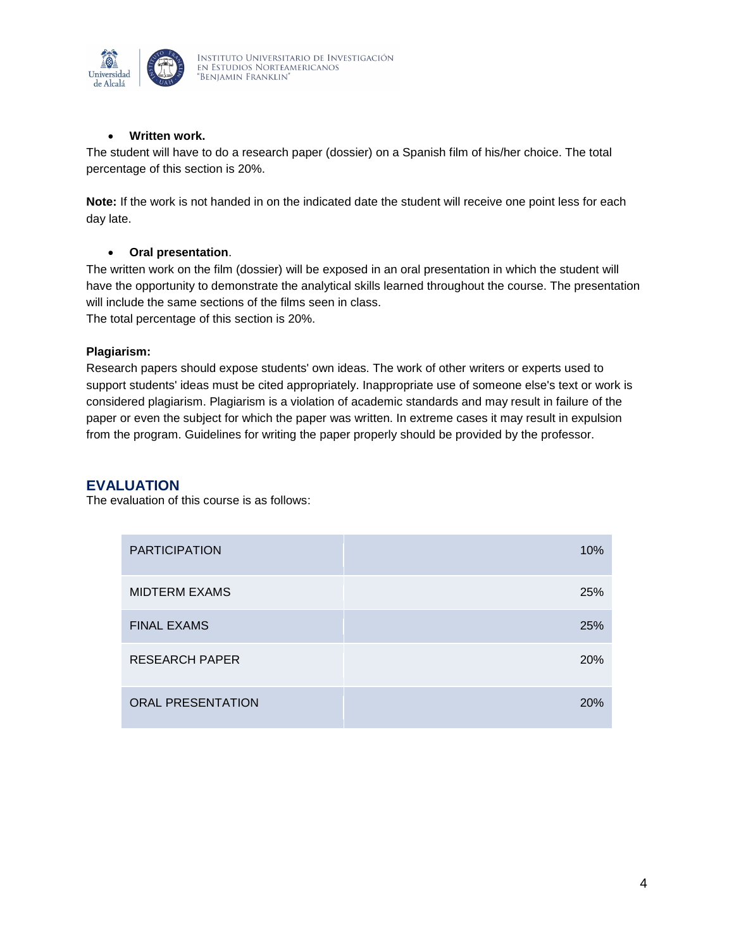

#### **Written work.**

The student will have to do a research paper (dossier) on a Spanish film of his/her choice. The total percentage of this section is 20%.

**Note:** If the work is not handed in on the indicated date the student will receive one point less for each day late.

#### **Oral presentation**.

The written work on the film (dossier) will be exposed in an oral presentation in which the student will have the opportunity to demonstrate the analytical skills learned throughout the course. The presentation will include the same sections of the films seen in class.

The total percentage of this section is 20%.

#### **Plagiarism:**

Research papers should expose students' own ideas. The work of other writers or experts used to support students' ideas must be cited appropriately. Inappropriate use of someone else's text or work is considered plagiarism. Plagiarism is a violation of academic standards and may result in failure of the paper or even the subject for which the paper was written. In extreme cases it may result in expulsion from the program. Guidelines for writing the paper properly should be provided by the professor.

#### **EVALUATION**

The evaluation of this course is as follows:

| <b>PARTICIPATION</b>     | 10%        |
|--------------------------|------------|
| <b>MIDTERM EXAMS</b>     | 25%        |
| <b>FINAL EXAMS</b>       | 25%        |
| <b>RESEARCH PAPER</b>    | 20%        |
| <b>ORAL PRESENTATION</b> | <b>20%</b> |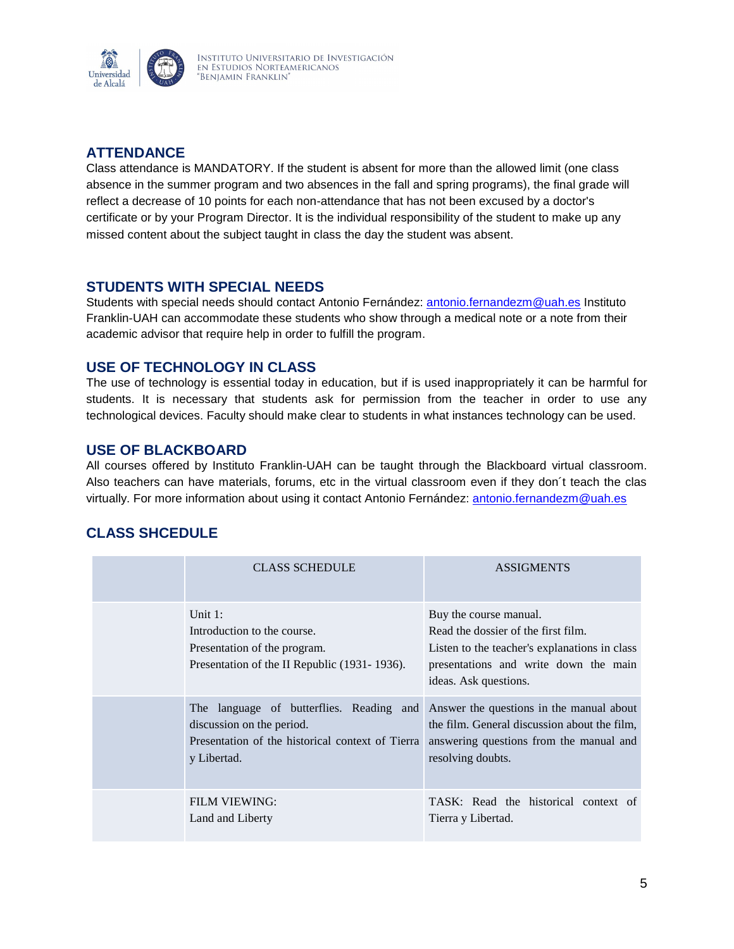

# **ATTENDANCE**

Class attendance is MANDATORY. If the student is absent for more than the allowed limit (one class absence in the summer program and two absences in the fall and spring programs), the final grade will reflect a decrease of 10 points for each non-attendance that has not been excused by a doctor's certificate or by your Program Director. It is the individual responsibility of the student to make up any missed content about the subject taught in class the day the student was absent.

### **STUDENTS WITH SPECIAL NEEDS**

Students with special needs should contact Antonio Fernández: [antonio.fernandezm@uah.es](mailto:antonio.fernandezm@uah.es) Instituto Franklin-UAH can accommodate these students who show through a medical note or a note from their academic advisor that require help in order to fulfill the program.

# **USE OF TECHNOLOGY IN CLASS**

The use of technology is essential today in education, but if is used inappropriately it can be harmful for students. It is necessary that students ask for permission from the teacher in order to use any technological devices. Faculty should make clear to students in what instances technology can be used.

# **USE OF BLACKBOARD**

All courses offered by Instituto Franklin-UAH can be taught through the Blackboard virtual classroom. Also teachers can have materials, forums, etc in the virtual classroom even if they don´t teach the clas virtually. For more information about using it contact Antonio Fernández: [antonio.fernandezm@uah.es](mailto:antonio.fernandezm@uah.es)

# **CLASS SHCEDULE**

| <b>CLASS SCHEDULE</b>                                                                                                                    | <b>ASSIGMENTS</b>                                                                                                                                                                |
|------------------------------------------------------------------------------------------------------------------------------------------|----------------------------------------------------------------------------------------------------------------------------------------------------------------------------------|
| Unit $1$ :<br>Introduction to the course.<br>Presentation of the program.<br>Presentation of the II Republic (1931-1936).                | Buy the course manual.<br>Read the dossier of the first film.<br>Listen to the teacher's explanations in class<br>presentations and write down the main<br>ideas. Ask questions. |
| The language of butterflies. Reading and<br>discussion on the period.<br>Presentation of the historical context of Tierra<br>y Libertad. | Answer the questions in the manual about<br>the film. General discussion about the film,<br>answering questions from the manual and<br>resolving doubts.                         |
| FILM VIEWING:<br>Land and Liberty                                                                                                        | TASK: Read the historical context of<br>Tierra y Libertad.                                                                                                                       |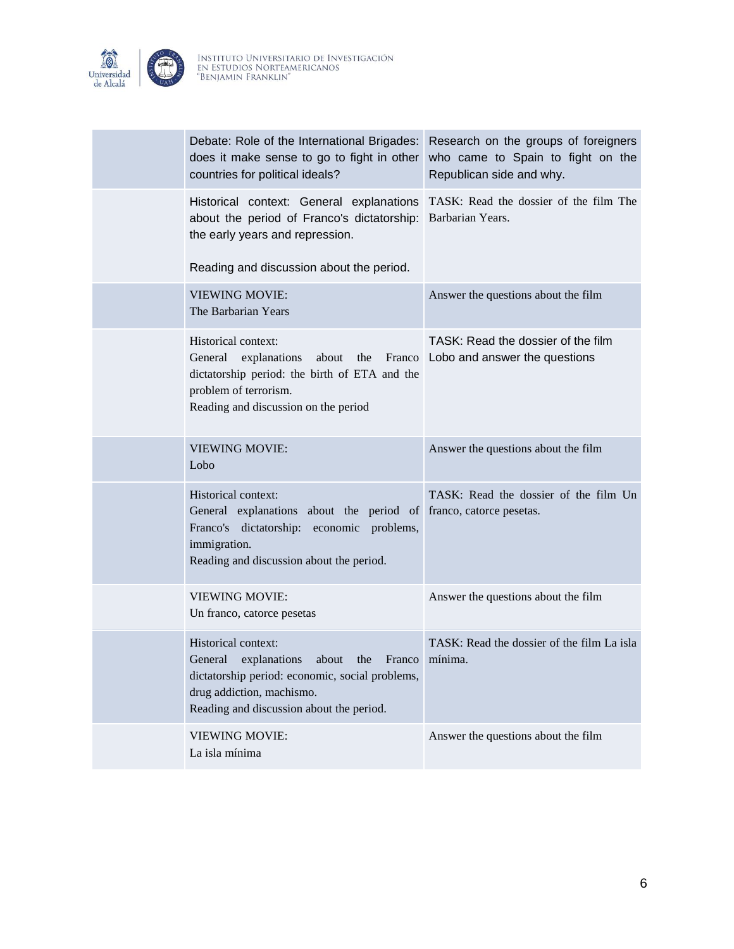

| Debate: Role of the International Brigades:<br>does it make sense to go to fight in other<br>countries for political ideals?                                                                         | Research on the groups of foreigners<br>who came to Spain to fight on the<br>Republican side and why. |
|------------------------------------------------------------------------------------------------------------------------------------------------------------------------------------------------------|-------------------------------------------------------------------------------------------------------|
| Historical context: General explanations<br>about the period of Franco's dictatorship:<br>the early years and repression.<br>Reading and discussion about the period.                                | TASK: Read the dossier of the film The<br>Barbarian Years.                                            |
| <b>VIEWING MOVIE:</b><br>The Barbarian Years                                                                                                                                                         | Answer the questions about the film                                                                   |
| Historical context:<br>General<br>explanations<br>about<br>the<br>Franco<br>dictatorship period: the birth of ETA and the<br>problem of terrorism.<br>Reading and discussion on the period           | TASK: Read the dossier of the film<br>Lobo and answer the questions                                   |
| <b>VIEWING MOVIE:</b><br>Lobo                                                                                                                                                                        | Answer the questions about the film                                                                   |
| Historical context:<br>General explanations about the period of franco, catorce pesetas.<br>Franco's dictatorship: economic problems,<br>immigration.<br>Reading and discussion about the period.    | TASK: Read the dossier of the film Un                                                                 |
| <b>VIEWING MOVIE:</b><br>Un franco, catorce pesetas                                                                                                                                                  | Answer the questions about the film                                                                   |
| Historical context:<br>General<br>explanations<br>the<br>Franco<br>about<br>dictatorship period: economic, social problems,<br>drug addiction, machismo.<br>Reading and discussion about the period. | TASK: Read the dossier of the film La isla<br>mínima.                                                 |
| <b>VIEWING MOVIE:</b><br>La isla mínima                                                                                                                                                              | Answer the questions about the film                                                                   |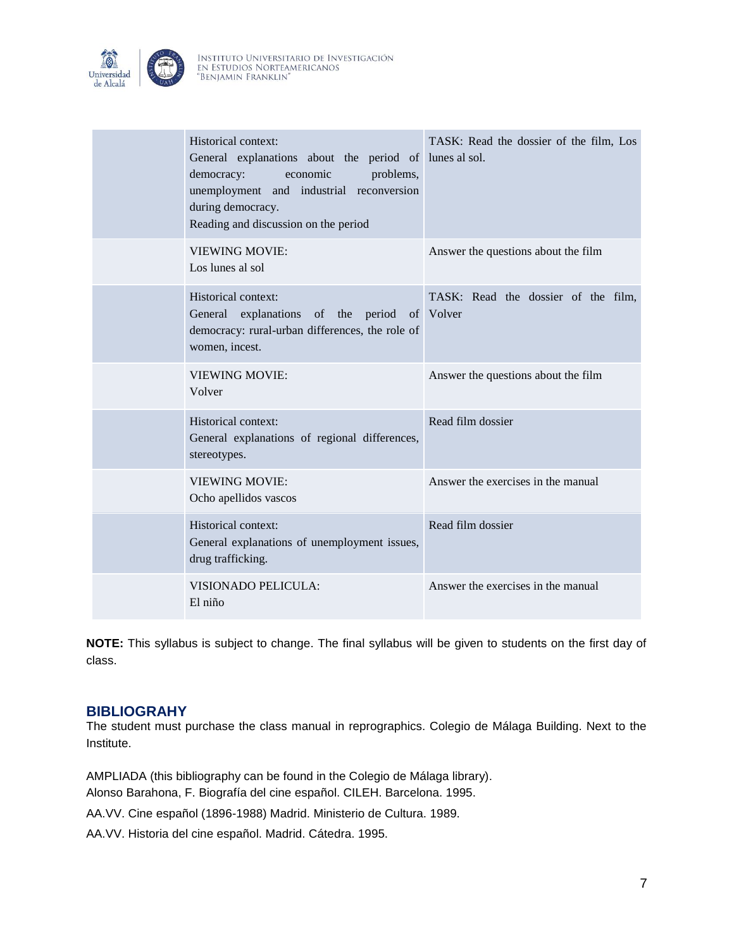

| Historical context:<br>General explanations about the period of lunes alsol.<br>democracy:<br>economic<br>problems,<br>unemployment and industrial reconversion<br>during democracy.<br>Reading and discussion on the period | TASK: Read the dossier of the film, Los |
|------------------------------------------------------------------------------------------------------------------------------------------------------------------------------------------------------------------------------|-----------------------------------------|
| <b>VIEWING MOVIE:</b><br>Los lunes al sol                                                                                                                                                                                    | Answer the questions about the film     |
| Historical context:<br>General explanations of the period of Volver<br>democracy: rural-urban differences, the role of<br>women, incest.                                                                                     | TASK: Read the dossier of the film,     |
| <b>VIEWING MOVIE:</b><br>Volver                                                                                                                                                                                              | Answer the questions about the film     |
| Historical context:<br>General explanations of regional differences,<br>stereotypes.                                                                                                                                         | Read film dossier                       |
| <b>VIEWING MOVIE:</b><br>Ocho apellidos vascos                                                                                                                                                                               | Answer the exercises in the manual      |
| Historical context:<br>General explanations of unemployment issues,<br>drug trafficking.                                                                                                                                     | Read film dossier                       |
| VISIONADO PELICULA:<br>El niño                                                                                                                                                                                               | Answer the exercises in the manual      |

**NOTE:** This syllabus is subject to change. The final syllabus will be given to students on the first day of class.

### **BIBLIOGRAHY**

The student must purchase the class manual in reprographics. Colegio de Málaga Building. Next to the Institute.

AMPLIADA (this bibliography can be found in the Colegio de Málaga library).

Alonso Barahona, F. Biografía del cine español. CILEH. Barcelona. 1995.

AA.VV. Cine español (1896-1988) Madrid. Ministerio de Cultura. 1989.

AA.VV. Historia del cine español. Madrid. Cátedra. 1995.